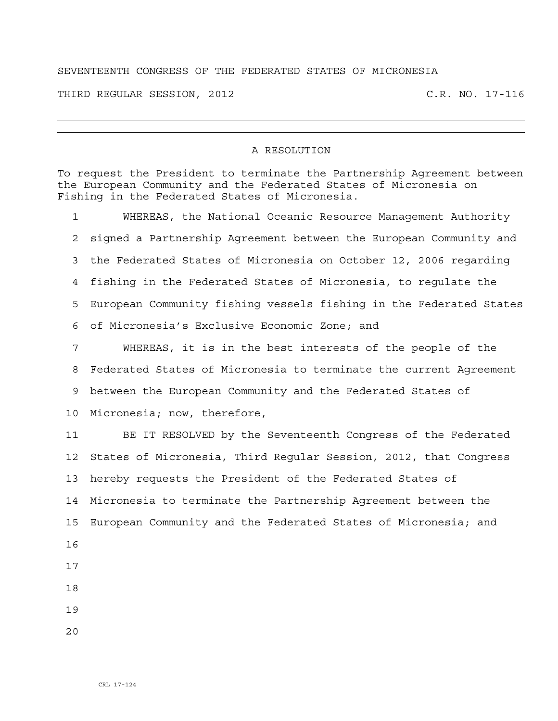## SEVENTEENTH CONGRESS OF THE FEDERATED STATES OF MICRONESIA

THIRD REGULAR SESSION, 2012 C.R. NO. 17-116

## A RESOLUTION

To request the President to terminate the Partnership Agreement between the European Community and the Federated States of Micronesia on Fishing in the Federated States of Micronesia.

1 WHEREAS, the National Oceanic Resource Management Authority 2 signed a Partnership Agreement between the European Community and 3 the Federated States of Micronesia on October 12, 2006 regarding 4 fishing in the Federated States of Micronesia, to regulate the 5 European Community fishing vessels fishing in the Federated States 6 of Micronesia's Exclusive Economic Zone; and 7 WHEREAS, it is in the best interests of the people of the 8 Federated States of Micronesia to terminate the current Agreement 9 between the European Community and the Federated States of

10 Micronesia; now, therefore,

11 BE IT RESOLVED by the Seventeenth Congress of the Federated 12 States of Micronesia, Third Regular Session, 2012, that Congress 13 hereby requests the President of the Federated States of 14 Micronesia to terminate the Partnership Agreement between the 15 European Community and the Federated States of Micronesia; and 16

- 17
- 18
- 
- 19
- 20